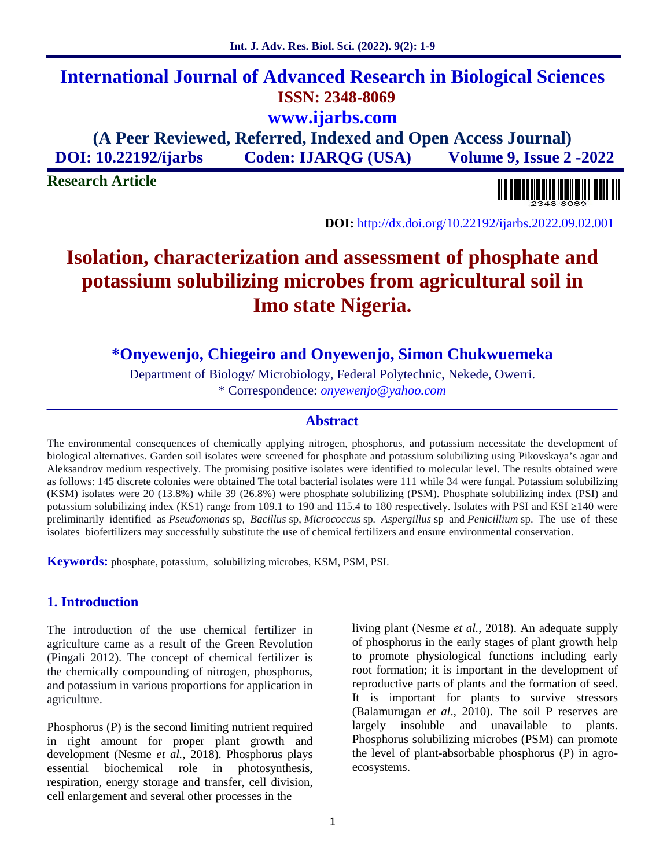# **International Journal of Advanced Research in Biological Sciences ISSN: 2348-8069 www.ijarbs.com**

**(A Peer Reviewed, Referred, Indexed and Open Access Journal) DOI: 10.22192/ijarbs Coden: IJARQG (USA) Volume 9, Issue 2 -2022**

**Research Article**

**DOI:** http://dx.doi.org/10.22192/ijarbs.2022.09.02.001

# **Isolation, characterization and assessment of phosphate and potassium solubilizing microbes from agricultural soil in Imo state Nigeria.**

**\*Onyewenjo, Chiegeiro and Onyewenjo, Simon Chukwuemeka**

Department of Biology/ Microbiology, Federal Polytechnic, Nekede, Owerri.

\* Correspondence: *onyewenjo@yahoo.com*

#### **Abstract**

The environmental consequences of chemically applying nitrogen, phosphorus, and potassium necessitate the development of biological alternatives. Garden soil isolates were screened for phosphate and potassium solubilizing using Pikovskaya's agar and Aleksandrov medium respectively. The promising positive isolates were identified to molecular level. The results obtained were as follows: 145 discrete colonies were obtained The total bacterial isolates were 111 while 34 were fungal. Potassium solubilizing (KSM) isolates were 20 (13.8%) while 39 (26.8%) were phosphate solubilizing (PSM). Phosphate solubilizing index (PSI) and potassium solubilizing index (KS1) range from 109.1 to 190 and 115.4 to 180 respectively. Isolates with PSI and KSI 140 were preliminarily identified as *Pseudomonas* sp*, Bacillus* sp, *Micrococcus* sp*. Aspergillus* sp and *Penicillium* sp. The use of these isolates biofertilizers may successfully substitute the use of chemical fertilizers and ensure environmental conservation.

**Keywords:** phosphate, potassium, solubilizing microbes, KSM, PSM, PSI.

## **1. Introduction**

The introduction of the use chemical fertilizer in agriculture came as a result of the Green Revolution (Pingali 2012). The concept of chemical fertilizer is the chemically compounding of nitrogen, phosphorus, and potassium in various proportions for application in agriculture.

Phosphorus (P) is the second limiting nutrient required largely in right amount for proper plant growth and development (Nesme *et al.,* 2018). Phosphorus plays essential biochemical role in photosynthesis, respiration, energy storage and transfer, cell division, cell enlargement and several other processes in the

living plant (Nesme *et al.*, 2018). An adequate supply of phosphorus in the early stages of plant growth help to promote physiological functions including early root formation; it is important in the development of reproductive parts of plants and the formation of seed. It is important for plants to survive stressors (Balamurugan *et al*., 2010). The soil P reserves are insoluble and unavailable to plants. Phosphorus solubilizing microbes (PSM) can promote the level of plant-absorbable phosphorus (P) in agro ecosystems.

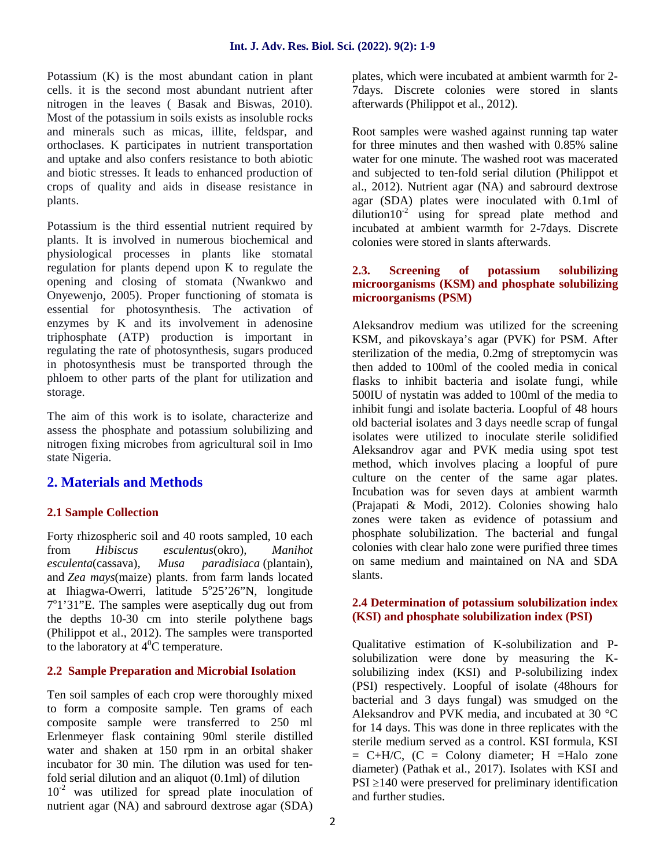Potassium (K) is the most abundant cation in plant cells. it is the second most abundant nutrient after nitrogen in the leaves ( Basak and Biswas, 2010). Most of the potassium in soils exists as insoluble rocks and minerals such as micas, illite, feldspar, and orthoclases. K participates in nutrient transportation and uptake and also confers resistance to both abiotic and biotic stresses. It leads to enhanced production of crops of quality and aids in disease resistance in plants.

Potassium is the third essential nutrient required by plants. It is involved in numerous biochemical and physiological processes in plants like stomatal regulation for plants depend upon K to regulate the 2.3. opening and closing of stomata (Nwankwo and Onyewenjo, 2005). Proper functioning of stomata is essential for photosynthesis. The activation of enzymes by K and its involvement in adenosine triphosphate (ATP) production is important in regulating the rate of photosynthesis, sugars produced in photosynthesis must be transported through the phloem to other parts of the plant for utilization and storage.

The aim of this work is to isolate, characterize and assess the phosphate and potassium solubilizing and nitrogen fixing microbes from agricultural soil in Imo state Nigeria.

## **2. Materials and Methods**

## **2.1 Sample Collection**

Forty rhizospheric soil and 40 roots sampled, 10 each from *Hibiscus esculentus*(okro)*, Manihot esculenta*(cassava)*, Musa paradisiaca* (plantain), and *Zea mays*(maize) plants. from farm lands located at Ihiagwa-Owerri, latitude  $5^{\circ}25'26''N$ , longitude  $7^{\circ}$ 1'31"E. The samples were aseptically dug out from 2.4 De the depths 10-30 cm into sterile polythene bags (Philippot et al., 2012). The samples were transported to the laboratory at  $4^{\circ}$ C temperature.

## **2.2 Sample Preparation and Microbial Isolation**

Ten soil samples of each crop were thoroughly mixed to form a composite sample. Ten grams of each composite sample were transferred to 250 ml Erlenmeyer flask containing 90ml sterile distilled water and shaken at 150 rpm in an orbital shaker incubator for 30 min. The dilution was used for tenfold serial dilution and an aliquot (0.1ml) of dilution  $10^{-2}$  was utilized for spread plate inoculation of nutrient agar (NA) and sabrourd dextrose agar (SDA)

plates, which were incubated at ambient warmth for 2- 7days. Discrete colonies were stored in slants afterwards (Philippot et al., 2012).

Root samples were washed against running tap water for three minutes and then washed with 0.85% saline water for one minute. The washed root was macerated and subjected to ten-fold serial dilution (Philippot et al., 2012). Nutrient agar (NA) and sabrourd dextrose agar (SDA) plates were inoculated with 0.1ml of  $\frac{d$ ilution10<sup>-2</sup> using for spread plate method and incubated at ambient warmth for 2-7days. Discrete colonies were stored in slants afterwards.

#### **2.3. Screening of potassium solubilizing microorganisms (KSM) and phosphate solubilizing microorganisms (PSM)**

Aleksandrov medium was utilized for the screening KSM, and pikovskaya's agar (PVK) for PSM. After sterilization of the media, 0.2mg of streptomycin was then added to 100ml of the cooled media in conical flasks to inhibit bacteria and isolate fungi, while 500IU of nystatin was added to 100ml of the media to inhibit fungi and isolate bacteria. Loopful of 48 hours old bacterial isolates and 3 days needle scrap of fungal isolates were utilized to inoculate sterile solidified Aleksandrov agar and PVK media using spot test method, which involves placing a loopful of pure culture on the center of the same agar plates. Incubation was for seven days at ambient warmth (Prajapati & Modi, 2012). Colonies showing halo zones were taken as evidence of potassium and phosphate solubilization. The bacterial and fungal colonies with clear halo zone were purified three times on same medium and maintained on NA and SDA slants.

### **2.4 Determination of potassium solubilization index (KSI) and phosphate solubilization index (PSI)**

Qualitative estimation of K-solubilization and P solubilization were done by measuring the K solubilizing index (KSI) and P-solubilizing index (PSI) respectively. Loopful of isolate (48hours for bacterial and 3 days fungal) was smudged on the Aleksandrov and PVK media, and incubated at 30 °C for 14 days. This was done in three replicates with the sterile medium served as a control. KSI formula, KSI  $= C+H/C$ ,  $(C = Colony$  diameter; H =Halo zone diameter) (Pathak et al., 2017). Isolates with KSI and PSI 140 were preserved for preliminary identification and further studies.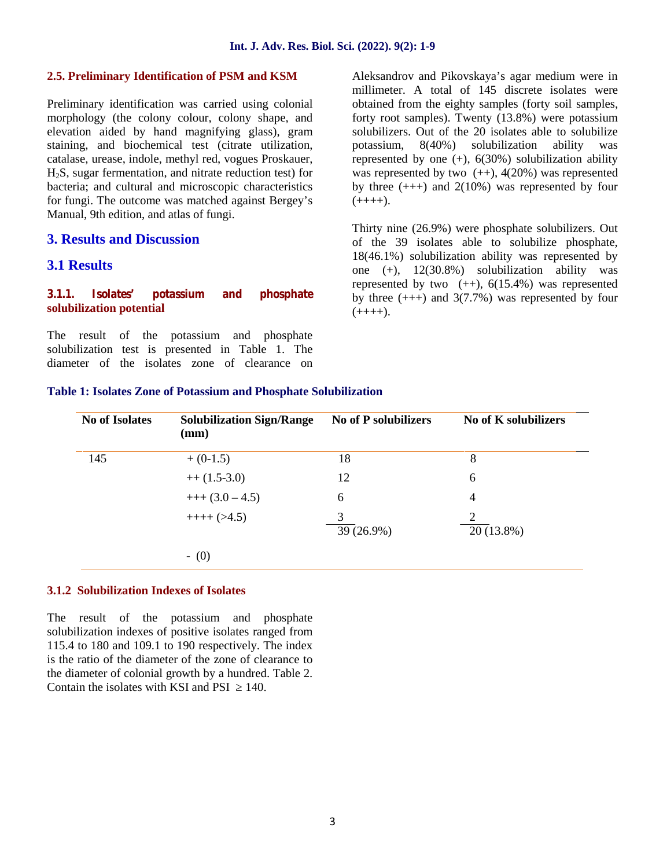#### **2.5. Preliminary Identification of PSM and KSM**

Preliminary identification was carried using colonial morphology (the colony colour, colony shape, and elevation aided by hand magnifying glass), gram staining, and biochemical test (citrate utilization, catalase, urease, indole, methyl red, vogues Proskauer, H2S, sugar fermentation, and nitrate reduction test) for bacteria; and cultural and microscopic characteristics for fungi. The outcome was matched against Bergey's Manual, 9th edition, and atlas of fungi.

#### **3. Results and Discussion**

## **3.1 Results**

#### **3.1.1. Isolates' potassium and phosphate solubilization potential**

The result of the potassium and phosphate solubilization test is presented in Table 1. The diameter of the isolates zone of clearance on Aleksandrov and Pikovskaya's agar medium were in millimeter. A total of 145 discrete isolates were obtained from the eighty samples (forty soil samples, forty root samples). Twenty (13.8%) were potassium solubilizers. Out of the 20 isolates able to solubilize potassium, 8(40%) solubilization ability was represented by one  $(+)$ ,  $6(30\%)$  solubilization ability was represented by two  $(+)$ , 4(20%) was represented by three  $(++)$  and  $2(10%)$  was represented by four  $(++++)$ .

Thirty nine (26.9%) were phosphate solubilizers. Out of the 39 isolates able to solubilize phosphate, 18(46.1%) solubilization ability was represented by one (+), 12(30.8%) solubilization ability was represented by two  $(+)$ ,  $6(15.4%)$  was represented by three  $(++)$  and  $3(7.7%)$  was represented by four  $(++++)$ .

#### **Table 1: Isolates Zone of Potassium and Phosphate Solubilization**

| <b>No of Isolates</b> | <b>Solubilization Sign/Range</b><br>(mm) | <b>No of P solubilizers</b> | <b>No of K solubilizers</b> |
|-----------------------|------------------------------------------|-----------------------------|-----------------------------|
| 145                   | $+ (0-1.5)$                              | 18                          | 8                           |
|                       | $++(1.5-3.0)$                            | 12                          | 6                           |
|                       | $++(3.0-4.5)$                            | 6                           | 4                           |
|                       | $+++(>4.5)$                              | 3<br>39 (26.9%)             | 2<br>20 (13.8%)             |
|                       | $-$ (0)                                  |                             |                             |

#### **3.1.2 Solubilization Indexes of Isolates**

The result of the potassium and phosphate solubilization indexes of positive isolates ranged from 115.4 to 180 and 109.1 to 190 respectively. The index is the ratio of the diameter of the zone of clearance to the diameter of colonial growth by a hundred. Table 2. Contain the isolates with KSI and PSI 140.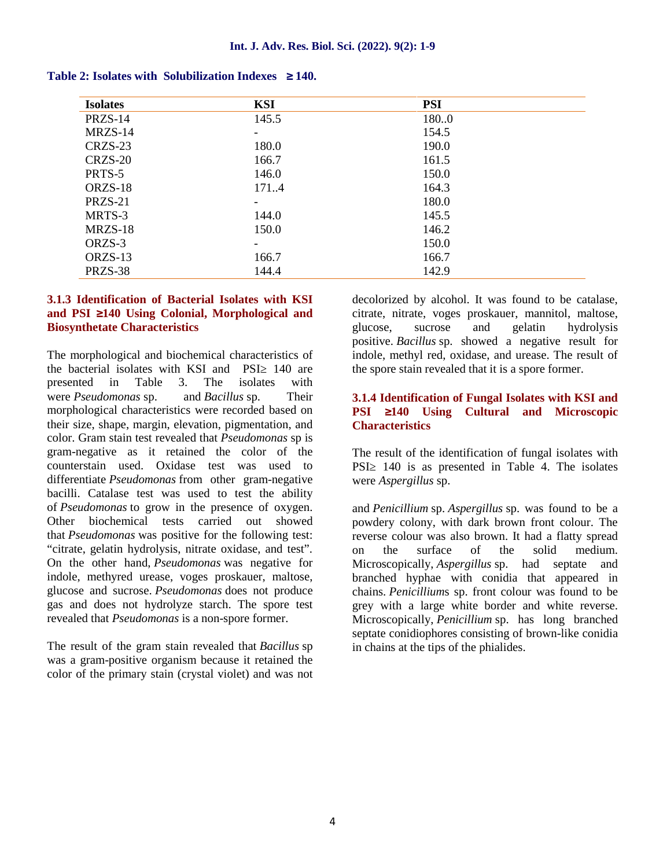| <b>Isolates</b> | KSI                      | <b>PSI</b> |  |
|-----------------|--------------------------|------------|--|
| PRZS-14         | 145.5                    | 180.0      |  |
| MRZS-14         | -                        | 154.5      |  |
| CRZS-23         | 180.0                    | 190.0      |  |
| CRZS-20         | 166.7                    | 161.5      |  |
| PRTS-5          | 146.0                    | 150.0      |  |
| ORZS-18         | 1714                     | 164.3      |  |
| PRZS-21         | $\overline{\phantom{0}}$ | 180.0      |  |
| MRTS-3          | 144.0                    | 145.5      |  |
| MRZS-18         | 150.0                    | 146.2      |  |
| ORZS-3          | -                        | 150.0      |  |
| ORZS-13         | 166.7                    | 166.7      |  |
| PRZS-38         | 144.4                    | 142.9      |  |

| <b>Table 2: Isolates with Solubilization Indexes</b><br>140. |  |
|--------------------------------------------------------------|--|
|--------------------------------------------------------------|--|

#### **3.1.3 Identification of Bacterial Isolates with KSI and PSI 140 Using Colonial, Morphological and Biosynthetate Characteristics**

The morphological and biochemical characteristics of the bacterial isolates with KSI and PSI 140 are presented in Table 3. The isolates with were *Pseudomonas* sp. and *Bacillus* sp. Their morphological characteristics were recorded based on **PSI** their size, shape, margin, elevation, pigmentation, and color. Gram stain test revealed that *Pseudomonas* sp is gram-negative as it retained the color of the counterstain used. Oxidase test was used to differentiate *Pseudomonas* from other gram-negative bacilli. Catalase test was used to test the ability of *Pseudomonas* to grow in the presence of oxygen. Other biochemical tests carried out showed that *Pseudomonas* was positive for the following test: "citrate, gelatin hydrolysis, nitrate oxidase, and test". On the other hand, *Pseudomonas* was negative for indole, methyred urease, voges proskauer, maltose, glucose and sucrose. *Pseudomonas* does not produce gas and does not hydrolyze starch. The spore test revealed that *Pseudomonas* is a non-spore former.

The result of the gram stain revealed that *Bacillus* sp was a gram-positive organism because it retained the color of the primary stain (crystal violet) and was not

decolorized by alcohol. It was found to be catalase, citrate, nitrate, voges proskauer, mannitol, maltose, glucose, sucrose and gelatin hydrolysis positive. *Bacillus* sp. showed a negative result for indole, methyl red, oxidase, and urease. The result of the spore stain revealed that it is a spore former.

#### **3.1.4 Identification of Fungal Isolates with KSI and PSI 140 Using Cultural and Microscopic Characteristics**

The result of the identification of fungal isolates with PSI 140 is as presented in Table 4. The isolates were *Aspergillus* sp.

and *Penicillium* sp. *Aspergillus* sp. was found to be a powdery colony, with dark brown front colour. The reverse colour was also brown. It had a flatty spread on the surface of the solid medium. Microscopically, *Aspergillus* sp. had septate and branched hyphae with conidia that appeared in chains. *Penicillium*s sp. front colour was found to be grey with a large white border and white reverse. Microscopically, *Penicillium* sp. has long branched septate conidiophores consisting of brown-like conidia in chains at the tips of the phialides.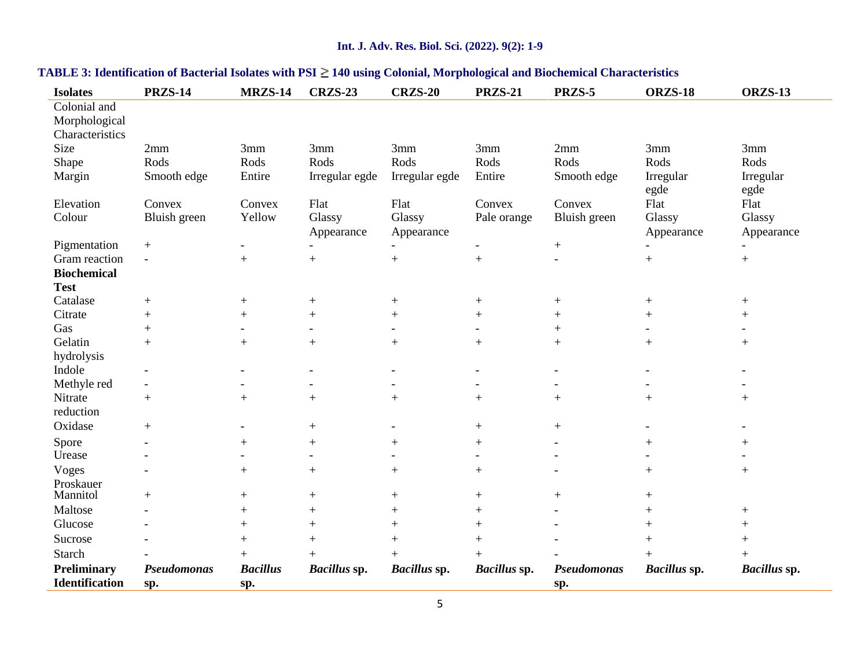## **Int. J. Adv. Res. Biol. Sci. (2022). 9(2): 1-9**

| <b>Isolates</b>                                  | <b>PRZS-14</b>                               | MRZS-14                  | <b>CRZS-23</b>           | <b>CRZS-20</b>           | <b>PRZS-21</b>           | PRZS-5                   | <b>ORZS-18</b>           | <b>ORZS-13</b>   |
|--------------------------------------------------|----------------------------------------------|--------------------------|--------------------------|--------------------------|--------------------------|--------------------------|--------------------------|------------------|
| Colonial and<br>Morphological<br>Characteristics |                                              |                          |                          |                          |                          |                          |                          |                  |
| Size                                             | 2mm                                          | 3mm                      | 3mm                      | 3mm                      | 3mm                      | 2mm                      | 3mm                      | 3mm              |
| Shape                                            | Rods                                         | Rods                     | Rods                     | Rods                     | Rods                     | Rods                     | Rods                     | Rods             |
| Margin                                           | Smooth edge                                  | Entire                   | Irregular egde           | Irregular egde           | Entire                   | Smooth edge              | Irregular                | Irregular        |
| Elevation                                        | Convex                                       | Convex                   | Flat                     | Flat                     | Convex                   | Convex                   | egde<br>Flat             | egde<br>Flat     |
| Colour                                           | Bluish green                                 | Yellow                   | Glassy                   | Glassy                   | Pale orange              | Bluish green             | Glassy                   | Glassy           |
| Pigmentation                                     |                                              |                          | Appearance               | Appearance               | $\overline{\phantom{0}}$ |                          | Appearance               | Appearance       |
| Gram reaction                                    | $\boldsymbol{+}$<br>$\overline{\phantom{a}}$ | $+$                      | $\! +$                   | $+$                      | $^{+}$                   | $\boldsymbol{+}$         | $+$                      | $\boldsymbol{+}$ |
| <b>Biochemical</b>                               |                                              |                          |                          |                          |                          |                          |                          |                  |
| <b>Test</b>                                      |                                              |                          |                          |                          |                          |                          |                          |                  |
| Catalase                                         | $+$                                          | $^{+}$                   |                          | $^{+}$                   | $^{+}$                   | $+$                      | $^{+}$                   | $+$              |
| Citrate                                          | $+$                                          | $+$                      | $+$                      | $+$                      | $+$                      | $^{+}$                   | $+$                      | $+$              |
| Gas                                              | $+$                                          |                          | $\overline{\phantom{a}}$ |                          |                          | $+$                      |                          |                  |
| Gelatin                                          | $+$                                          | $+$                      | $+$                      | $+$                      | $+$                      | $+$                      | $^{+}$                   | $+$              |
| hydrolysis                                       |                                              |                          |                          |                          |                          |                          |                          |                  |
| Indole                                           | $\overline{\phantom{a}}$                     | $\overline{\phantom{a}}$ | $\overline{\phantom{a}}$ | $\overline{\phantom{a}}$ | $\overline{\phantom{a}}$ | $\overline{\phantom{a}}$ | $\overline{\phantom{a}}$ |                  |
| Methyle red                                      | $\overline{\phantom{a}}$                     |                          | $\blacksquare$           | $\overline{\phantom{a}}$ | $\overline{\phantom{a}}$ | $\blacksquare$           | $\overline{\phantom{a}}$ |                  |
| Nitrate                                          | $+$                                          | $+$                      | $+$                      | $+$                      | $+$                      | $+$                      | $+$                      | $+$              |
| reduction                                        |                                              |                          |                          |                          |                          |                          |                          |                  |
| Oxidase                                          | $+$                                          | $\blacksquare$           | $+$                      |                          | $+$                      | $\boldsymbol{+}$         |                          |                  |
| Spore                                            |                                              | $\! +$                   | $\boldsymbol{+}$         | $\boldsymbol{+}$         | $^{+}$                   |                          | $^{+}$                   | $\boldsymbol{+}$ |
| Urease                                           |                                              |                          | $\overline{a}$           |                          |                          |                          |                          |                  |
| Voges                                            |                                              | $+$                      | $\! +$                   | $+$                      | $+$                      |                          | $+$                      | $^{+}$           |
| Proskauer<br>Mannitol                            | $+$                                          | $+$                      | $+$                      | $^{+}$                   | $+$                      | $+$                      | $^{+}$                   |                  |
| Maltose                                          |                                              | $+$                      | $+$                      | $+$                      | $^{+}$                   |                          | $^{+}$                   | $+$              |
| Glucose                                          |                                              | $+$                      | $+$                      | $+$                      | $+$                      |                          | $+$                      | $+$              |
| Sucrose                                          |                                              | $+$                      | $+$                      | $+$                      | $+$                      |                          | $+$                      | $+$              |
| <b>Starch</b>                                    |                                              | $+$                      | $+$                      | $+$                      | $+$                      |                          | $^{+}$                   | $+$              |
| <b>Preliminary</b>                               | Pseudomonas                                  | <b>Bacillus</b>          | <b>Bacillus</b> sp.      | Bacillus sp.             | Bacillus sp.             | Pseudomonas              | Bacillus sp.             | Bacillus sp.     |
| <b>Identification</b>                            | sp.                                          | sp.                      |                          |                          |                          | sp.                      |                          |                  |

## **TABLE 3: Identification of Bacterial Isolates with PSI 140 using Colonial, Morphological and Biochemical Characteristics**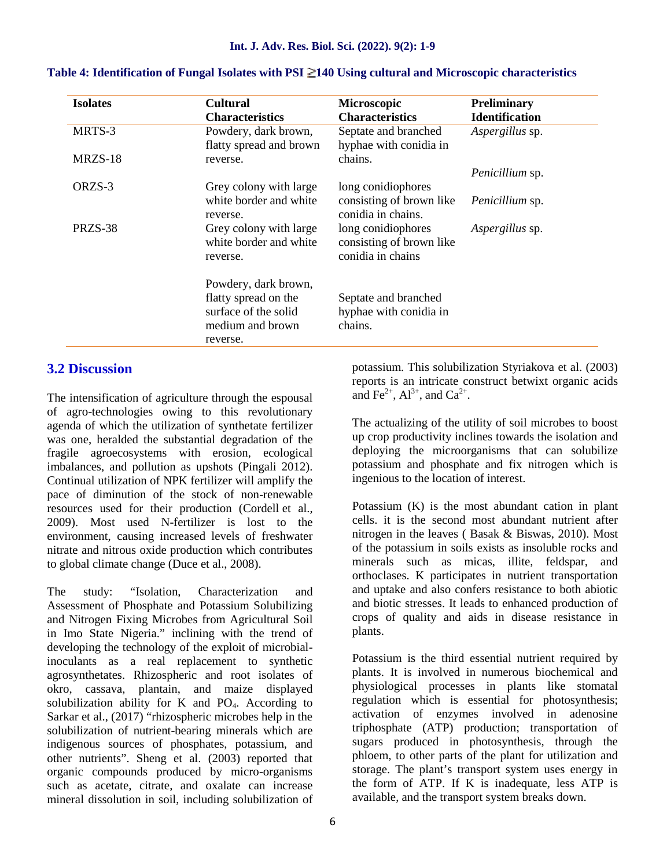| <b>Isolates</b> | <b>Cultural</b><br><b>Characteristics</b>                    | Microscopic<br><b>Characteristics</b>                               | <b>Preliminary</b><br><b>Identification</b> |
|-----------------|--------------------------------------------------------------|---------------------------------------------------------------------|---------------------------------------------|
| MRTS-3          | Powdery, dark brown,<br>flatty spread and brown              | Septate and branched<br>hyphae with conidia in                      | Aspergillus sp.                             |
| MRZS-18         | reverse.                                                     | chains.                                                             |                                             |
|                 |                                                              |                                                                     | Penicillium sp.                             |
| ORZS-3          | Grey colony with large                                       | long conidiophores                                                  |                                             |
|                 | white border and white<br>reverse.                           | consisting of brown like<br>conidia in chains.                      | <i>Penicillium</i> sp.                      |
| PRZS-38         | Grey colony with large<br>white border and white<br>reverse. | long conidiophores<br>consisting of brown like<br>conidia in chains | <i>Aspergillus</i> sp.                      |
|                 | Powdery, dark brown,                                         |                                                                     |                                             |
|                 | flatty spread on the                                         | Septate and branched                                                |                                             |
|                 | surface of the solid<br>medium and brown                     | hyphae with conidia in<br>chains.                                   |                                             |
|                 | reverse.                                                     |                                                                     |                                             |

#### **Table 4: Identification of Fungal Isolates with PSI 140 Using cultural and Microscopic characteristics**

## **3.2 Discussion**

The intensification of agriculture through the espousal of agro-technologies owing to this revolutionary agenda of which the utilization of synthetate fertilizer was one, heralded the substantial degradation of the fragile agroecosystems with erosion, ecological imbalances, and pollution as upshots (Pingali 2012). Continual utilization of NPK fertilizer will amplify the pace of diminution of the stock of non-renewable resources used for their production (Cordell et al., 2009). Most used N-fertilizer is lost to the environment, causing increased levels of freshwater nitrate and nitrous oxide production which contributes to global climate change (Duce et al., 2008).

The study: "Isolation, Characterization and Assessment of Phosphate and Potassium Solubilizing and Nitrogen Fixing Microbes from Agricultural Soil in Imo State Nigeria." inclining with the trend of developing the technology of the exploit of microbialinoculants as a real replacement to synthetic agrosynthetates. Rhizospheric and root isolates of okro, cassava, plantain, and maize displayed solubilization ability for K and  $PO<sub>4</sub>$ . According to Sarkar et al., (2017) "rhizospheric microbes help in the solubilization of nutrient-bearing minerals which are indigenous sources of phosphates, potassium, and other nutrients". Sheng et al. (2003) reported that organic compounds produced by micro-organisms such as acetate, citrate, and oxalate can increase mineral dissolution in soil, including solubilization of

potassium. This solubilization Styriakova et al. (2003) reports is an intricate construct betwixt organic acids and Fe<sup>2+</sup>, Al<sup>3+</sup>, and Ca<sup>2+</sup>.

The actualizing of the utility of soil microbes to boost up crop productivity inclines towards the isolation and deploying the microorganisms that can solubilize potassium and phosphate and fix nitrogen which is ingenious to the location of interest.

Potassium (K) is the most abundant cation in plant cells. it is the second most abundant nutrient after nitrogen in the leaves ( Basak & Biswas, 2010). Most of the potassium in soils exists as insoluble rocks and minerals such as micas, illite, feldspar, and orthoclases. K participates in nutrient transportation and uptake and also confers resistance to both abiotic and biotic stresses. It leads to enhanced production of crops of quality and aids in disease resistance in plants.

Potassium is the third essential nutrient required by plants. It is involved in numerous biochemical and physiological processes in plants like stomatal regulation which is essential for photosynthesis; activation of enzymes involved in adenosine triphosphate (ATP) production; transportation of sugars produced in photosynthesis, through the phloem, to other parts of the plant for utilization and storage. The plant's transport system uses energy in the form of ATP. If K is inadequate, less ATP is available, and the transport system breaks down.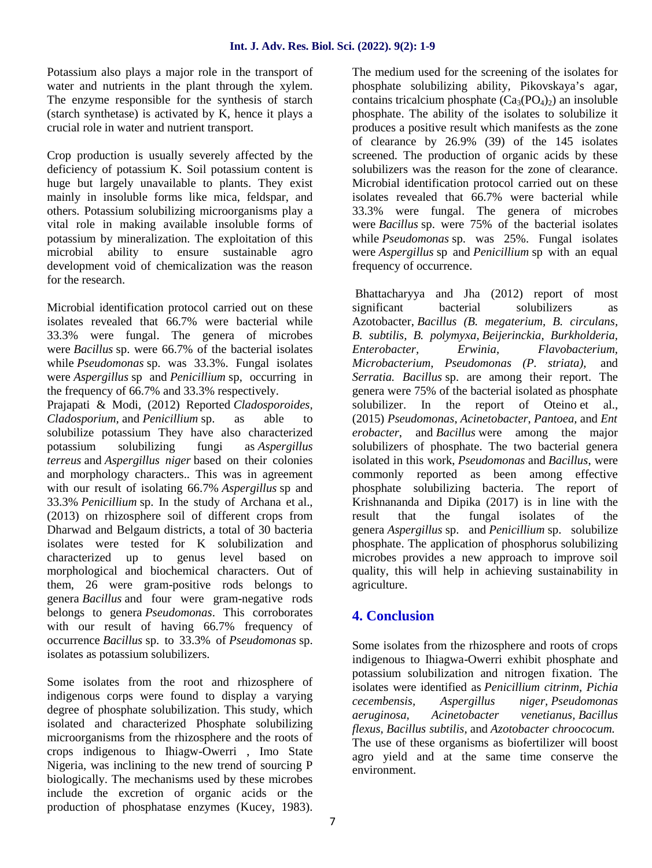Potassium also plays a major role in the transport of water and nutrients in the plant through the xylem. The enzyme responsible for the synthesis of starch (starch synthetase) is activated by K, hence it plays a crucial role in water and nutrient transport.

Crop production is usually severely affected by the deficiency of potassium K. Soil potassium content is huge but largely unavailable to plants. They exist mainly in insoluble forms like mica, feldspar, and others. Potassium solubilizing microorganisms play a vital role in making available insoluble forms of potassium by mineralization. The exploitation of this microbial ability to ensure sustainable agro development void of chemicalization was the reason for the research.

Microbial identification protocol carried out on these significant isolates revealed that 66.7% were bacterial while 33.3% were fungal. The genera of microbes were *Bacillus* sp. were 66.7% of the bacterial isolates while *Pseudomonas* sp. was 33.3%. Fungal isolates were *Aspergillus* sp and *Penicillium* sp, occurring in the frequency of 66.7% and 33.3% respectively.

Prajapati & Modi, (2012) Reported *Cladosporoides, Cladosporium,* and *Penicillium* sp. as able to solubilize potassium They have also characterized potassium solubilizing fungi as *Aspergillus terreus* and *Aspergillus niger* based on their colonies and morphology characters.. This was in agreement with our result of isolating 66.7% *Aspergillus* sp and 33.3% *Penicillium* sp. In the study of Archana et al., (2013) on rhizosphere soil of different crops from Dharwad and Belgaum districts, a total of 30 bacteria isolates were tested for K solubilization and characterized up to genus level based on morphological and biochemical characters. Out of them, 26 were gram-positive rods belongs to genera *Bacillus* and four were gram-negative rods belongs to genera *Pseudomonas*. This corroborates with our result of having 66.7% frequency of occurrence *Bacillus* sp. to 33.3% of *Pseudomonas* sp. isolates as potassium solubilizers.

Some isolates from the root and rhizosphere of indigenous corps were found to display a varying cecembensis, degree of phosphate solubilization. This study, which *aeruginosa*, isolated and characterized Phosphate solubilizing microorganisms from the rhizosphere and the roots of crops indigenous to Ihiagw-Owerri , Imo State Nigeria, was inclining to the new trend of sourcing P biologically. The mechanisms used by these microbes include the excretion of organic acids or the production of phosphatase enzymes (Kucey, 1983).

The medium used for the screening of the isolates for phosphate solubilizing ability, Pikovskaya's agar, contains tricalcium phosphate  $(Ca_3(PO_4)_2)$  an insoluble phosphate. The ability of the isolates to solubilize it produces a positive result which manifests as the zone of clearance by 26.9% (39) of the 145 isolates screened. The production of organic acids by these solubilizers was the reason for the zone of clearance. Microbial identification protocol carried out on these isolates revealed that 66.7% were bacterial while 33.3% were fungal. The genera of microbes were *Bacillus* sp. were 75% of the bacterial isolates while *Pseudomonas* sp. was 25%. Fungal isolates were *Aspergillus* sp and *Penicillium* sp with an equal frequency of occurrence.

Bhattacharyya and Jha (2012) report of most bacterial solubilizers as Azotobacter, *Bacillus (B. megaterium, B. circulans, B. subtilis, B. polymyxa*, *Beijerinckia, Burkholderia, Enterobacter, Erwinia, Flavobacterium, Microbacterium, Pseudomonas (P. striata),* and *Serratia. Bacillus* sp. are among their report. The genera were 75% of the bacterial isolated as phosphate solubilizer. In the report of Oteino et al., (2015) *Pseudomonas*, *Acinetobacter*, *Pantoea,* and *Ent erobacter*, and *Bacillus* were among the major solubilizers of phosphate. The two bacterial genera isolated in this work, *Pseudomonas* and *Bacillus*, were commonly reported as been among effective phosphate solubilizing bacteria. The report of Krishnananda and Dipika (2017) is in line with the that the fungal isolates of the genera *Aspergillus* sp. and *Penicillium* sp. solubilize phosphate. The application of phosphorus solubilizing microbes provides a new approach to improve soil quality, this will help in achieving sustainability in agriculture.

## **4. Conclusion**

Some isolates from the rhizosphere and roots of crops indigenous to Ihiagwa-Owerri exhibit phosphate and potassium solubilization and nitrogen fixation. The isolates were identified as *Penicillium citrinm, Pichia cecembensis, Aspergillus niger, Pseudomonas aeruginosa, Acinetobacter venetianus, Bacillus flexus, Bacillus subtilis,* and *Azotobacter chroococum.* The use of these organisms as biofertilizer will boost agro yield and at the same time conserve the environment.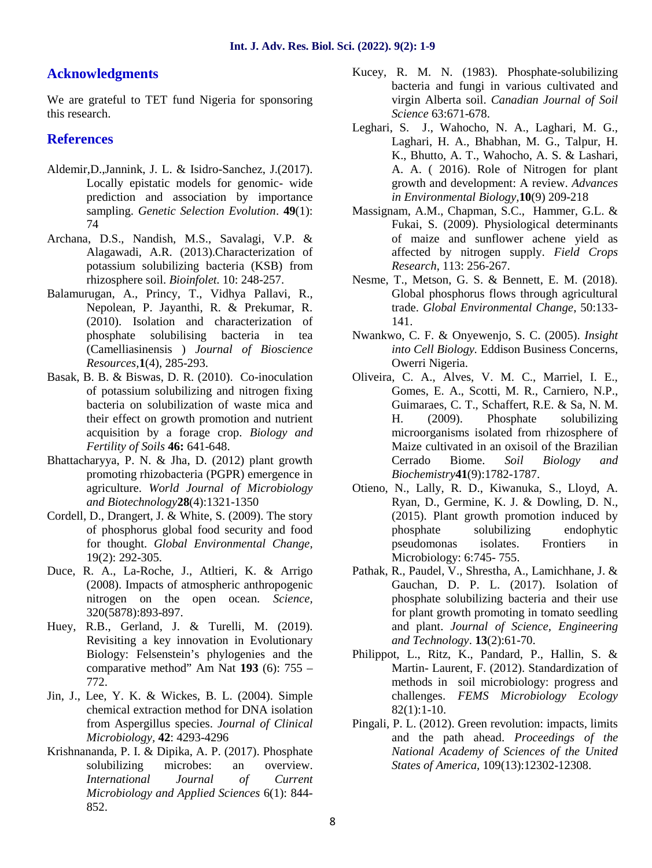## **Acknowledgments**

We are grateful to TET fund Nigeria for sponsoring this research.

## **References**

- Aldemir,D.,Jannink, J. L. & Isidro-Sanchez, J.(2017). Locally epistatic models for genomic- wide prediction and association by importance sampling. *Genetic Selection Evolution*. **49**(1): 74
- Archana, D.S., Nandish, M.S., Savalagi, V.P. & Alagawadi, A.R. (2013).Characterization of potassium solubilizing bacteria (KSB) from rhizosphere soil. *Bioinfolet.* 10: 248-257.
- Balamurugan, A., Princy, T., Vidhya Pallavi, R., Nepolean, P. Jayanthi, R. & Prekumar, R. (2010). Isolation and characterization of phosphate solubilising bacteria in tea (Camelliasinensis ) *Journal of Bioscience Resources,***1**(4), 285-293.
- Basak, B. B. & Biswas, D. R. (2010). Co-inoculation of potassium solubilizing and nitrogen fixing bacteria on solubilization of waste mica and their effect on growth promotion and nutrient acquisition by a forage crop. *Biology and Fertility of Soils* **46:** 641-648.
- Bhattacharyya, P. N. & Jha, D. (2012) plant growth promoting rhizobacteria (PGPR) emergence in agriculture. *World Journal of Microbiology and Biotechnology***28**(4):1321-1350
- Cordell, D., Drangert, J. & White, S. (2009). The story of phosphorus global food security and food for thought. *Global Environmental Change,* 19(2): 292-305.
- Duce, R. A., La-Roche, J., Atltieri, K. & Arrigo (2008). Impacts of atmospheric anthropogenic nitrogen on the open ocean. *Science,* 320(5878):893-897.
- Huey, R.B., Gerland, J. & Turelli, M. (2019). Revisiting a key innovation in Evolutionary Biology: Felsenstein's phylogenies and the comparative method" Am Nat **193** (6): 755 – 772.
- Jin, J., Lee, Y. K. & Wickes, B. L. (2004). Simple chemical extraction method for DNA isolation from Aspergillus species. *Journal of Clinical Microbiology,* **42**: 4293-4296
- Krishnananda, P. I. & Dipika, A. P. (2017). Phosphate solubilizing microbes: an overview. *International Journal of Current Microbiology and Applied Sciences* 6(1): 844- 852.
- Kucey, R. M. N. (1983). Phosphate-solubilizing bacteria and fungi in various cultivated and virgin Alberta soil. *Canadian Journal of Soil Science* 63:671-678.
- Leghari, S. J., Wahocho, N. A., Laghari, M. G., Laghari, H. A., Bhabhan, M. G., Talpur, H. K., Bhutto, A. T., Wahocho, A. S. & Lashari, A. A. ( 2016). Role of Nitrogen for plant growth and development: A review. *Advances in Environmental Biology,***10**(9) 209-218
- Massignam, A.M., Chapman, S.C., Hammer, G.L. & Fukai, S. (2009). Physiological determinants of maize and sunflower achene yield as affected by nitrogen supply. *Field Crops Research*, 113: 256-267.
- Nesme, T., Metson, G. S. & Bennett, E. M. (2018). Global phosphorus flows through agricultural trade. *Global Environmental Change*, 50:133- 141.
- Nwankwo, C. F. & Onyewenjo, S. C. (2005). *Insight into Cell Biology.* Eddison Business Concerns, Owerri Nigeria.
- Oliveira, C. A., Alves, V. M. C., Marriel, I. E., Gomes, E. A., Scotti, M. R., Carniero, N.P., Guimaraes, C. T., Schaffert, R.E. & Sa, N. M. H. (2009). Phosphate solubilizing microorganisms isolated from rhizosphere of Maize cultivated in an oxisoil of the Brazilian Cerrado Biome. *Soil Biology and Biochemistry***41**(9):1782-1787.
- Otieno, N., Lally, R. D., Kiwanuka, S., Lloyd, A. Ryan, D., Germine, K. J. & Dowling, D. N., (2015). Plant growth promotion induced by phosphate solubilizing endophytic pseudomonas isolates. Frontiers in Microbiology: 6:745- 755.
- Pathak, R., Paudel, V., Shrestha, A., Lamichhane, J. & Gauchan, D. P. L. (2017). Isolation of phosphate solubilizing bacteria and their use for plant growth promoting in tomato seedling and plant. *Journal of Science, Engineering and Technology*. **13**(2):61-70.
- Philippot, L., Ritz, K., Pandard, P., Hallin, S. & Martin- Laurent, F. (2012). Standardization of methods in soil microbiology: progress and challenges. *FEMS Microbiology Ecology* 82(1):1-10.
- Pingali, P. L. (2012). Green revolution: impacts, limits and the path ahead. *Proceedings of the National Academy of Sciences of the United States of America,* 109(13):12302-12308.